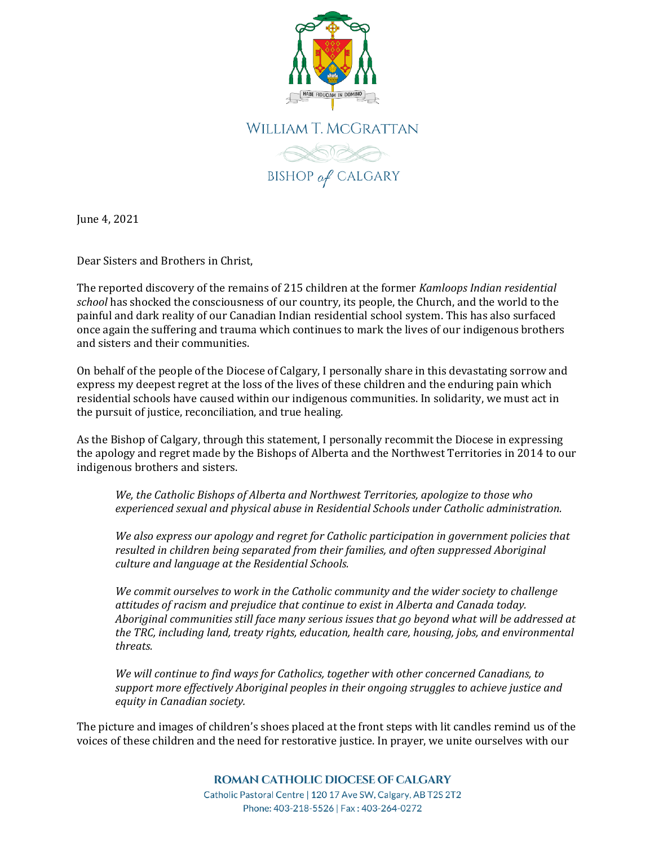



June 4, 2021

Dear Sisters and Brothers in Christ,

The reported discovery of the remains of 215 children at the former *Kamloops Indian residential school* has shocked the consciousness of our country, its people, the Church, and the world to the painful and dark reality of our Canadian Indian residential school system. This has also surfaced once again the suffering and trauma which continues to mark the lives of our indigenous brothers and sisters and their communities.

On behalf of the people of the Diocese of Calgary, I personally share in this devastating sorrow and express my deepest regret at the loss of the lives of these children and the enduring pain which residential schools have caused within our indigenous communities. In solidarity, we must act in the pursuit of justice, reconciliation, and true healing.

As the Bishop of Calgary, through this statement, I personally recommit the Diocese in expressing the apology and regret made by the Bishops of Alberta and the Northwest Territories in 2014 to our indigenous brothers and sisters.

*We, the Catholic Bishops of Alberta and Northwest Territories, apologize to those who experienced sexual and physical abuse in Residential Schools under Catholic administration.* 

*We also express our apology and regret for Catholic participation in government policies that resulted in children being separated from their families, and often suppressed Aboriginal culture and language at the Residential Schools.* 

*We commit ourselves to work in the Catholic community and the wider society to challenge attitudes of racism and prejudice that continue to exist in Alberta and Canada today. Aboriginal communities still face many serious issues that go beyond what will be addressed at the TRC, including land, treaty rights, education, health care, housing, jobs, and environmental threats.* 

*We will continue to find ways for Catholics, together with other concerned Canadians, to support more effectively Aboriginal peoples in their ongoing struggles to achieve justice and equity in Canadian society.*

The picture and images of children's shoes placed at the front steps with lit candles remind us of the voices of these children and the need for restorative justice. In prayer, we unite ourselves with our